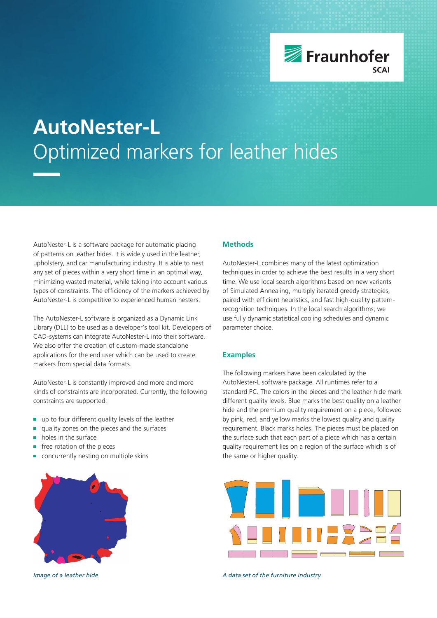

# **AutoNester-L** Optimized markers for leather hides

AutoNester-L is a software package for automatic placing of patterns on leather hides. It is widely used in the leather, upholstery, and car manufacturing industry. It is able to nest any set of pieces within a very short time in an optimal way, minimizing wasted material, while taking into account various types of constraints. The efficiency of the markers achieved by AutoNester-L is competitive to experienced human nesters.

The AutoNester-L software is organized as a Dynamic Link Library (DLL) to be used as a developer's tool kit. Developers of CAD-systems can integrate AutoNester-L into their software. We also offer the creation of custom-made standalone applications for the end user which can be used to create markers from special data formats.

AutoNester-L is constantly improved and more and more kinds of constraints are incorporated. Currently, the following constraints are supported:

- up to four different quality levels of the leather  $\mathcal{L}_{\mathcal{A}}$
- quality zones on the pieces and the surfaces
- holes in the surface Ė
- free rotation of the pieces
- concurrently nesting on multiple skins



## **Methods**

AutoNester-L combines many of the latest optimization techniques in order to achieve the best results in a very short time. We use local search algorithms based on new variants of Simulated Annealing, multiply iterated greedy strategies, paired with efficient heuristics, and fast high-quality patternrecognition techniques. In the local search algorithms, we use fully dynamic statistical cooling schedules and dynamic parameter choice.

#### **Examples**

The following markers have been calculated by the AutoNester-L software package. All runtimes refer to a standard PC. The colors in the pieces and the leather hide mark different quality levels. Blue marks the best quality on a leather hide and the premium quality requirement on a piece, followed by pink, red, and yellow marks the lowest quality and quality requirement. Black marks holes. The pieces must be placed on the surface such that each part of a piece which has a certain quality requirement lies on a region of the surface which is of the same or higher quality.



*Image of a leather hide A data set of the furniture industry*